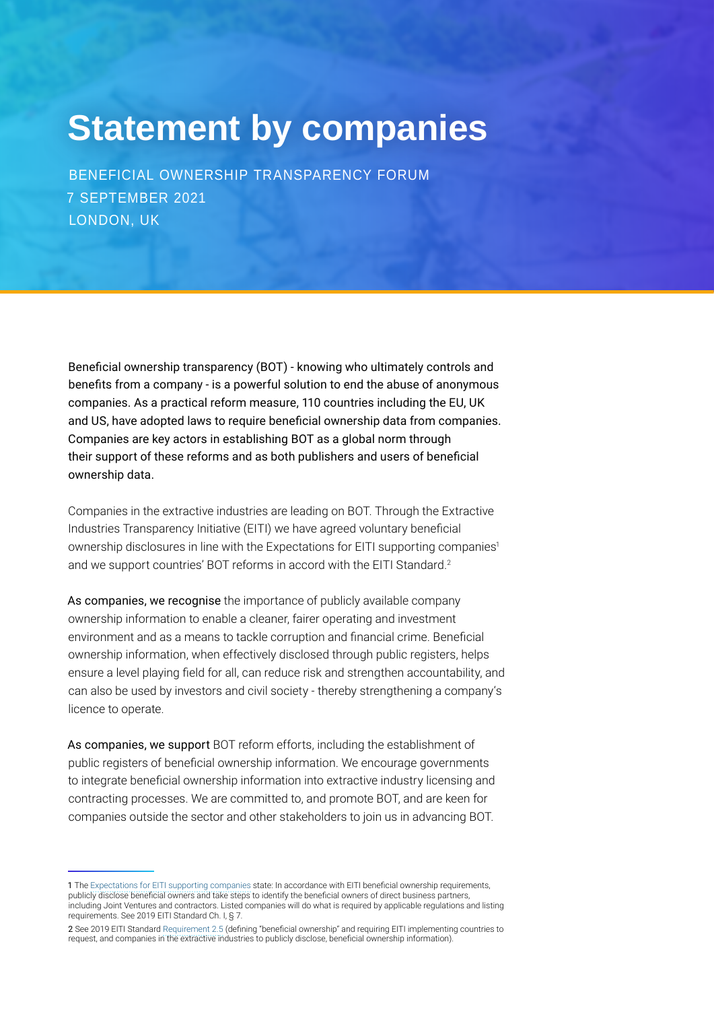## **Statement by companies**

BENEFICIAL OWNERSHIP TRANSPARENCY FORUM 7 SEPTEMBER 2021 LONDON, UK

Beneficial ownership transparency (BOT) - knowing who ultimately controls and benefits from a company - is a powerful solution to end the abuse of anonymous companies. As a practical reform measure, 110 countries including the EU, UK and US, have adopted laws to require beneficial ownership data from companies. Companies are key actors in establishing BOT as a global norm through their support of these reforms and as both publishers and users of beneficial ownership data.

Companies in the extractive industries are leading on BOT. Through the Extractive Industries Transparency Initiative (EITI) we have agreed voluntary beneficial ownership disclosures in line with the Expectations for EITI supporting companies<sup>1</sup> and we support countries' BOT reforms in accord with the EITI Standard.<sup>2</sup>

As companies, we recognise the importance of publicly available company ownership information to enable a cleaner, fairer operating and investment environment and as a means to tackle corruption and financial crime. Beneficial ownership information, when effectively disclosed through public registers, helps ensure a level playing field for all, can reduce risk and strengthen accountability, and can also be used by investors and civil society - thereby strengthening a company's licence to operate.

As companies, we support BOT reform efforts, including the establishment of public registers of beneficial ownership information. We encourage governments to integrate beneficial ownership information into extractive industry licensing and contracting processes. We are committed to, and promote BOT, and are keen for companies outside the sector and other stakeholders to join us in advancing BOT.

<sup>1</sup> The [Expectations for EITI supporting companies](https://eiti.org/document/expectations-for-eiti-supporting-companies) state: In accordance with EITI beneficial ownership requirements, publicly disclose beneficial owners and take steps to identify the beneficial owners of direct business partners, including Joint Ventures and contractors. Listed companies will do what is required by applicable regulations and listing requirements. See 2019 EITI Standard Ch. I, § 7.

<sup>2</sup> See 2019 EITI Standard [Requirement 2.5](https://eiti.org/document/eiti-standard-2019#r2-5) (defining "beneficial ownership" and requiring EITI implementing countries to request, and companies in the extractive industries to publicly disclose, beneficial ownership information).